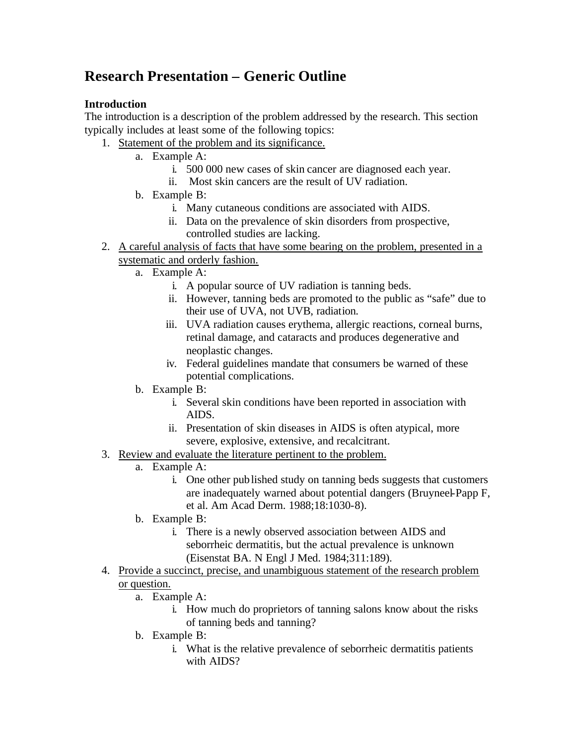# **Research Presentation – Generic Outline**

## **Introduction**

The introduction is a description of the problem addressed by the research. This section typically includes at least some of the following topics:

- 1. Statement of the problem and its significance.
	- a. Example A:
		- i. 500 000 new cases of skin cancer are diagnosed each year.
		- ii. Most skin cancers are the result of UV radiation.
	- b. Example B:
		- i. Many cutaneous conditions are associated with AIDS.
		- ii. Data on the prevalence of skin disorders from prospective, controlled studies are lacking.
- 2. A careful analysis of facts that have some bearing on the problem, presented in a systematic and orderly fashion.
	- a. Example A:
		- i. A popular source of UV radiation is tanning beds.
		- ii. However, tanning beds are promoted to the public as "safe" due to their use of UVA, not UVB, radiation.
		- iii. UVA radiation causes erythema, allergic reactions, corneal burns, retinal damage, and cataracts and produces degenerative and neoplastic changes.
		- iv. Federal guidelines mandate that consumers be warned of these potential complications.
	- b. Example B:
		- i. Several skin conditions have been reported in association with AIDS.
		- ii. Presentation of skin diseases in AIDS is often atypical, more severe, explosive, extensive, and recalcitrant.
- 3. Review and evaluate the literature pertinent to the problem.
	- a. Example A:
		- i. One other published study on tanning beds suggests that customers are inadequately warned about potential dangers (Bruyneel-Papp F, et al. Am Acad Derm. 1988;18:1030-8).
	- b. Example B:
		- i. There is a newly observed association between AIDS and seborrheic dermatitis, but the actual prevalence is unknown (Eisenstat BA. N Engl J Med. 1984;311:189).
- 4. Provide a succinct, precise, and unambiguous statement of the research problem or question.
	- a. Example A:
		- i. How much do proprietors of tanning salons know about the risks of tanning beds and tanning?
	- b. Example B:
		- i. What is the relative prevalence of seborrheic dermatitis patients with AIDS?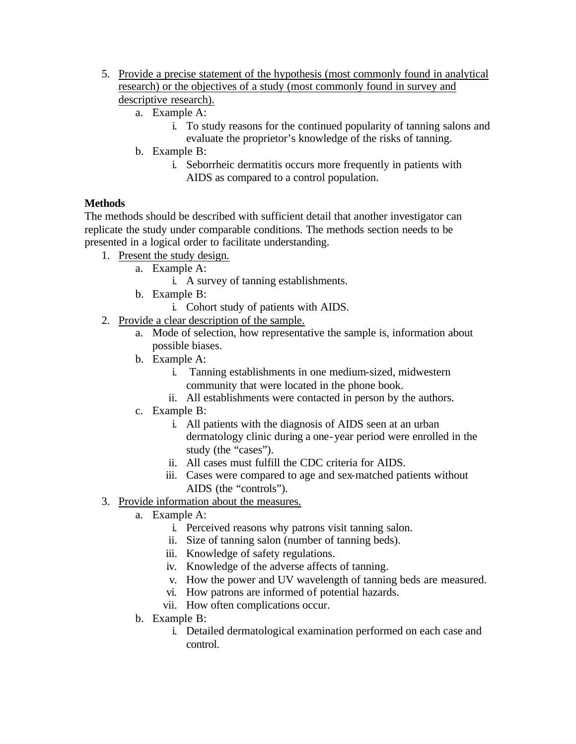- 5. Provide a precise statement of the hypothesis (most commonly found in analytical research) or the objectives of a study (most commonly found in survey and descriptive research).
	- a. Example A:
		- i. To study reasons for the continued popularity of tanning salons and evaluate the proprietor's knowledge of the risks of tanning.
	- b. Example B:
		- i. Seborrheic dermatitis occurs more frequently in patients with AIDS as compared to a control population.

## **Methods**

The methods should be described with sufficient detail that another investigator can replicate the study under comparable conditions. The methods section needs to be presented in a logical order to facilitate understanding.

- 1. Present the study design.
	- a. Example A:
		- i. A survey of tanning establishments.
	- b. Example B:
		- i. Cohort study of patients with AIDS.
- 2. Provide a clear description of the sample.
	- a. Mode of selection, how representative the sample is, information about possible biases.
	- b. Example A:
		- i. Tanning establishments in one medium-sized, midwestern community that were located in the phone book.
		- ii. All establishments were contacted in person by the authors.
	- c. Example B:
		- i. All patients with the diagnosis of AIDS seen at an urban dermatology clinic during a one-year period were enrolled in the study (the "cases").
		- ii. All cases must fulfill the CDC criteria for AIDS.
		- iii. Cases were compared to age and sex-matched patients without AIDS (the "controls").
- 3. Provide information about the measures.
	- a. Example A:
		- i. Perceived reasons why patrons visit tanning salon.
		- ii. Size of tanning salon (number of tanning beds).
		- iii. Knowledge of safety regulations.
		- iv. Knowledge of the adverse affects of tanning.
		- v. How the power and UV wavelength of tanning beds are measured.
		- vi. How patrons are informed of potential hazards.
		- vii. How often complications occur.
	- b. Example B:
		- i. Detailed dermatological examination performed on each case and control.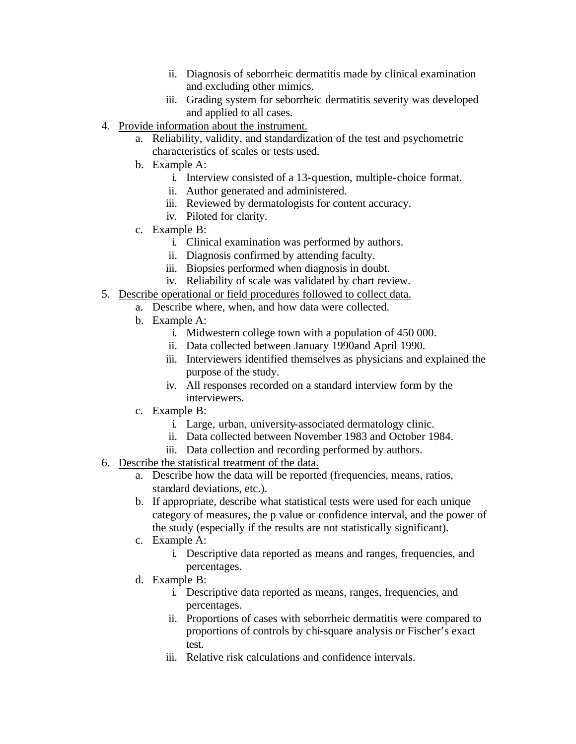- ii. Diagnosis of seborrheic dermatitis made by clinical examination and excluding other mimics.
- iii. Grading system for seborrheic dermatitis severity was developed and applied to all cases.
- 4. Provide information about the instrument.
	- a. Reliability, validity, and standardization of the test and psychometric characteristics of scales or tests used.
	- b. Example A:
		- i. Interview consisted of a 13-question, multiple-choice format.
		- ii. Author generated and administered.
		- iii. Reviewed by dermatologists for content accuracy.
		- iv. Piloted for clarity.
	- c. Example B:
		- i. Clinical examination was performed by authors.
		- ii. Diagnosis confirmed by attending faculty.
		- iii. Biopsies performed when diagnosis in doubt.
		- iv. Reliability of scale was validated by chart review.
- 5. Describe operational or field procedures followed to collect data.
	- a. Describe where, when, and how data were collected.
	- b. Example A:
		- i. Midwestern college town with a population of 450 000.
		- ii. Data collected between January 1990and April 1990.
		- iii. Interviewers identified themselves as physicians and explained the purpose of the study.
		- iv. All responses recorded on a standard interview form by the interviewers.
	- c. Example B:
		- i. Large, urban, university-associated dermatology clinic.
		- ii. Data collected between November 1983 and October 1984.
		- iii. Data collection and recording performed by authors.
- 6. Describe the statistical treatment of the data.
	- a. Describe how the data will be reported (frequencies, means, ratios, standard deviations, etc.).
	- b. If appropriate, describe what statistical tests were used for each unique category of measures, the p value or confidence interval, and the power of the study (especially if the results are not statistically significant).
	- c. Example A:
		- i. Descriptive data reported as means and ranges, frequencies, and percentages.
	- d. Example B:
		- i. Descriptive data reported as means, ranges, frequencies, and percentages.
		- ii. Proportions of cases with seborrheic dermatitis were compared to proportions of controls by chi-square analysis or Fischer's exact test.
		- iii. Relative risk calculations and confidence intervals.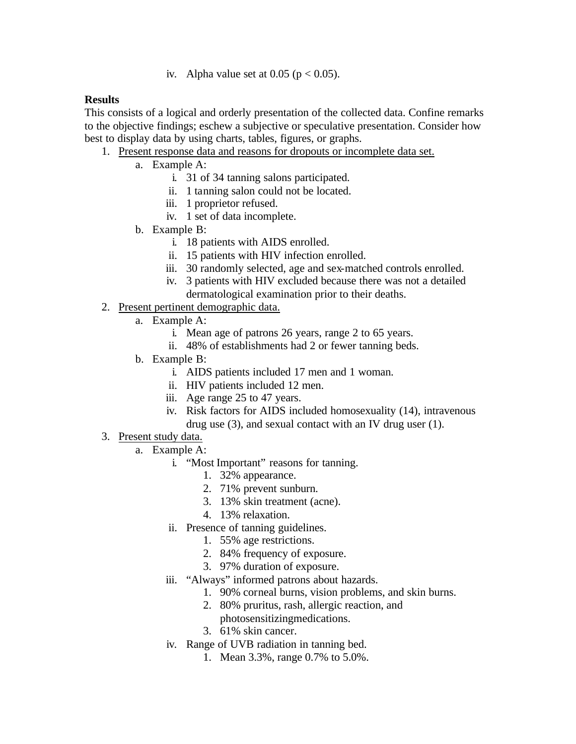iv. Alpha value set at  $0.05$  ( $p < 0.05$ ).

### **Results**

This consists of a logical and orderly presentation of the collected data. Confine remarks to the objective findings; eschew a subjective or speculative presentation. Consider how best to display data by using charts, tables, figures, or graphs.

1. Present response data and reasons for dropouts or incomplete data set.

- a. Example A:
	- i. 31 of 34 tanning salons participated.
	- ii. 1 tanning salon could not be located.
	- iii. 1 proprietor refused.
	- iv. 1 set of data incomplete.
- b. Example B:
	- i. 18 patients with AIDS enrolled.
	- ii. 15 patients with HIV infection enrolled.
	- iii. 30 randomly selected, age and sex-matched controls enrolled.
	- iv. 3 patients with HIV excluded because there was not a detailed dermatological examination prior to their deaths.
- 2. Present pertinent demographic data.
	- a. Example A:
		- i. Mean age of patrons 26 years, range 2 to 65 years.
		- ii. 48% of establishments had 2 or fewer tanning beds.
	- b. Example B:
		- i. AIDS patients included 17 men and 1 woman.
		- ii. HIV patients included 12 men.
		- iii. Age range 25 to 47 years.
		- iv. Risk factors for AIDS included homosexuality (14), intravenous drug use (3), and sexual contact with an IV drug user (1).
- 3. Present study data.
	- a. Example A:
		- i. "Most Important" reasons for tanning.
			- 1. 32% appearance.
			- 2. 71% prevent sunburn.
			- 3. 13% skin treatment (acne).
			- 4. 13% relaxation.
		- ii. Presence of tanning guidelines.
			- 1. 55% age restrictions.
			- 2. 84% frequency of exposure.
			- 3. 97% duration of exposure.
		- iii. "Always" informed patrons about hazards.
			- 1. 90% corneal burns, vision problems, and skin burns.
			- 2. 80% pruritus, rash, allergic reaction, and
				- photosensitizingmedications.
			- 3. 61% skin cancer.
		- iv. Range of UVB radiation in tanning bed.
			- 1. Mean 3.3%, range 0.7% to 5.0%.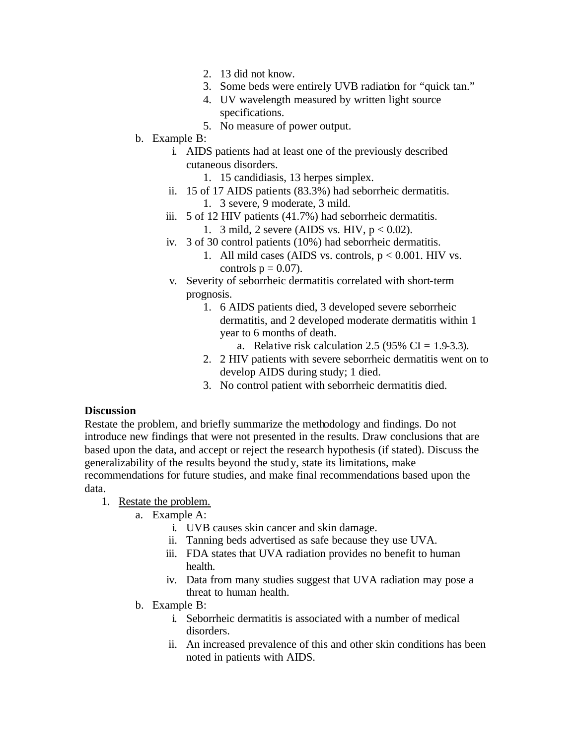- 2. 13 did not know.
- 3. Some beds were entirely UVB radiation for "quick tan."
- 4. UV wavelength measured by written light source specifications.
- 5. No measure of power output.
- b. Example B:
	- i. AIDS patients had at least one of the previously described cutaneous disorders.
		- 1. 15 candidiasis, 13 herpes simplex.
	- ii. 15 of 17 AIDS patients (83.3%) had seborrheic dermatitis. 1. 3 severe, 9 moderate, 3 mild.
	- iii. 5 of 12 HIV patients (41.7%) had seborrheic dermatitis. 1. 3 mild, 2 severe (AIDS vs. HIV,  $p < 0.02$ ).
		-
	- iv. 3 of 30 control patients (10%) had seborrheic dermatitis. 1. All mild cases (AIDS vs. controls,  $p < 0.001$ . HIV vs. controls  $p = 0.07$ ).
	- v. Severity of seborrheic dermatitis correlated with short-term prognosis.
		- 1. 6 AIDS patients died, 3 developed severe seborrheic dermatitis, and 2 developed moderate dermatitis within 1 year to 6 months of death.
			- a. Relative risk calculation 2.5 (95% CI = 1.9-3.3).
		- 2. 2 HIV patients with severe seborrheic dermatitis went on to develop AIDS during study; 1 died.
		- 3. No control patient with seborrheic dermatitis died.

#### **Discussion**

Restate the problem, and briefly summarize the methodology and findings. Do not introduce new findings that were not presented in the results. Draw conclusions that are based upon the data, and accept or reject the research hypothesis (if stated). Discuss the generalizability of the results beyond the study, state its limitations, make recommendations for future studies, and make final recommendations based upon the data.

- 1. Restate the problem.
	- a. Example A:
		- i. UVB causes skin cancer and skin damage.
		- ii. Tanning beds advertised as safe because they use UVA.
		- iii. FDA states that UVA radiation provides no benefit to human health.
		- iv. Data from many studies suggest that UVA radiation may pose a threat to human health.
	- b. Example B:
		- i. Seborrheic dermatitis is associated with a number of medical disorders.
		- ii. An increased prevalence of this and other skin conditions has been noted in patients with AIDS.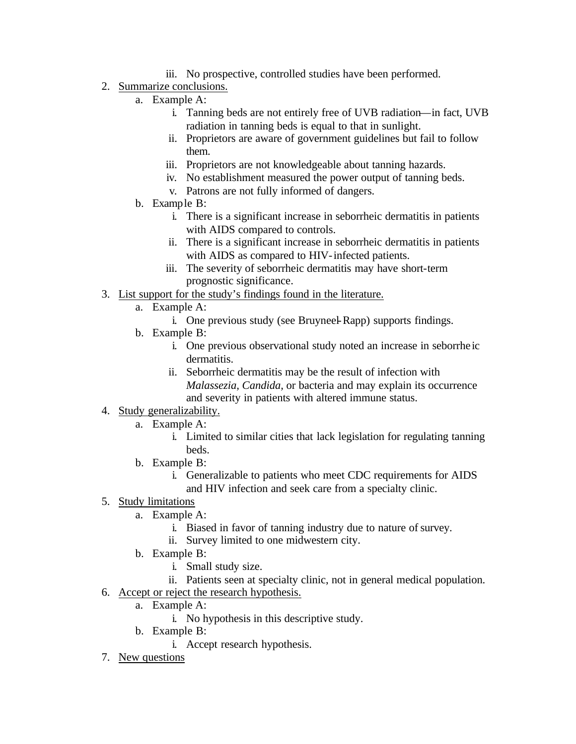- iii. No prospective, controlled studies have been performed.
- 2. Summarize conclusions.
	- a. Example A:
		- i. Tanning beds are not entirely free of UVB radiation—in fact, UVB radiation in tanning beds is equal to that in sunlight.
		- ii. Proprietors are aware of government guidelines but fail to follow them.
		- iii. Proprietors are not knowledgeable about tanning hazards.
		- iv. No establishment measured the power output of tanning beds.
		- v. Patrons are not fully informed of dangers.
	- b. Example B:
		- i. There is a significant increase in seborrheic dermatitis in patients with AIDS compared to controls.
		- ii. There is a significant increase in seborrheic dermatitis in patients with AIDS as compared to HIV-infected patients.
		- iii. The severity of seborrheic dermatitis may have short-term prognostic significance.
- 3. List support for the study's findings found in the literature.
	- a. Example A:
		- i. One previous study (see Bruyneel-Rapp) supports findings.
	- b. Example B:
		- i. One previous observational study noted an increase in seborrhe ic dermatitis.
		- ii. Seborrheic dermatitis may be the result of infection with *Malassezia, Candida,* or bacteria and may explain its occurrence and severity in patients with altered immune status.

## 4. Study generalizability.

- a. Example A:
	- i. Limited to similar cities that lack legislation for regulating tanning beds.
- b. Example B:
	- i. Generalizable to patients who meet CDC requirements for AIDS and HIV infection and seek care from a specialty clinic.
- 5. Study limitations
	- a. Example A:
		- i. Biased in favor of tanning industry due to nature of survey.
		- ii. Survey limited to one midwestern city.
	- b. Example B:
		- i. Small study size.
		- ii. Patients seen at specialty clinic, not in general medical population.
- 6. Accept or reject the research hypothesis.
	- a. Example A:
		- i. No hypothesis in this descriptive study.
	- b. Example B:
		- i. Accept research hypothesis.
- 7. New questions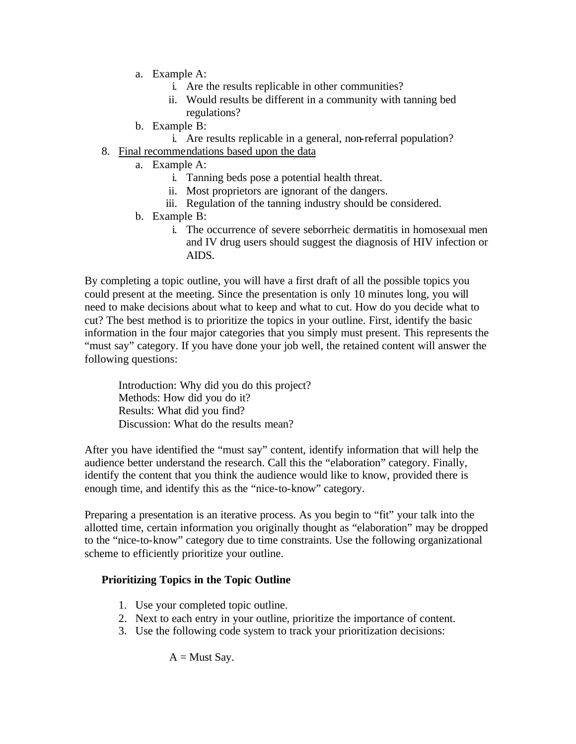- a. Example A:
	- i. Are the results replicable in other communities?
	- ii. Would results be different in a community with tanning bed regulations?
- b. Example B:
- i. Are results replicable in a general, non-referral population?
- 8. Final recommendations based upon the data
	- a. Example A:
		- i. Tanning beds pose a potential health threat.
		- ii. Most proprietors are ignorant of the dangers.
		- iii. Regulation of the tanning industry should be considered.
	- b. Example B:
		- i. The occurrence of severe seborrheic dermatitis in homosexual men and IV drug users should suggest the diagnosis of HIV infection or AIDS.

By completing a topic outline, you will have a first draft of all the possible topics you could present at the meeting. Since the presentation is only 10 minutes long, you will need to make decisions about what to keep and what to cut. How do you decide what to cut? The best method is to prioritize the topics in your outline. First, identify the basic information in the four major categories that you simply must present. This represents the "must say" category. If you have done your job well, the retained content will answer the following questions:

Introduction: Why did you do this project? Methods: How did you do it? Results: What did you find? Discussion: What do the results mean?

After you have identified the "must say" content, identify information that will help the audience better understand the research. Call this the "elaboration" category. Finally, identify the content that you think the audience would like to know, provided there is enough time, and identify this as the "nice-to-know" category.

Preparing a presentation is an iterative process. As you begin to "fit" your talk into the allotted time, certain information you originally thought as "elaboration" may be dropped to the "nice-to-know" category due to time constraints. Use the following organizational scheme to efficiently prioritize your outline.

#### **Prioritizing Topics in the Topic Outline**

- 1. Use your completed topic outline.
- 2. Next to each entry in your outline, prioritize the importance of content.
- 3. Use the following code system to track your prioritization decisions:

 $A = Must$  Say.